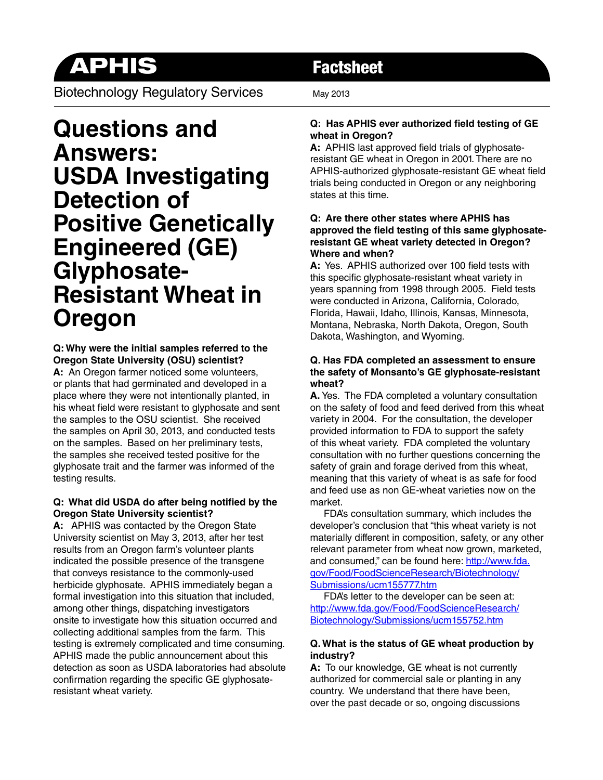# APHIS Factsheet

Biotechnology Regulatory Services May 2013

## **Questions and Answers: USDA Investigating Detection of Positive Genetically Engineered (GE) Glyphosate-Resistant Wheat in Oregon**

#### **Q: Why were the initial samples referred to the Oregon State University (OSU) scientist?**

**A:** An Oregon farmer noticed some volunteers, or plants that had germinated and developed in a place where they were not intentionally planted, in his wheat field were resistant to glyphosate and sent the samples to the OSU scientist. She received the samples on April 30, 2013, and conducted tests on the samples. Based on her preliminary tests, the samples she received tested positive for the glyphosate trait and the farmer was informed of the testing results.

#### **Q: What did USDA do after being notified by the Oregon State University scientist?**

**A:** APHIS was contacted by the Oregon State University scientist on May 3, 2013, after her test results from an Oregon farm's volunteer plants indicated the possible presence of the transgene that conveys resistance to the commonly-used herbicide glyphosate. APHIS immediately began a formal investigation into this situation that included, among other things, dispatching investigators onsite to investigate how this situation occurred and collecting additional samples from the farm. This testing is extremely complicated and time consuming. APHIS made the public announcement about this detection as soon as USDA laboratories had absolute confirmation regarding the specific GE glyphosateresistant wheat variety.

### **Q: Has APHIS ever authorized field testing of GE wheat in Oregon?**

**A:** APHIS last approved field trials of glyphosateresistant GE wheat in Oregon in 2001. There are no APHIS-authorized glyphosate-resistant GE wheat field trials being conducted in Oregon or any neighboring states at this time.

#### **Q: Are there other states where APHIS has approved the field testing of this same glyphosateresistant GE wheat variety detected in Oregon? Where and when?**

**A:** Yes. APHIS authorized over 100 field tests with this specific glyphosate-resistant wheat variety in years spanning from 1998 through 2005. Field tests were conducted in Arizona, California, Colorado, Florida, Hawaii, Idaho, Illinois, Kansas, Minnesota, Montana, Nebraska, North Dakota, Oregon, South Dakota, Washington, and Wyoming.

#### **Q. Has FDA completed an assessment to ensure the safety of Monsanto's GE glyphosate-resistant wheat?**

**A.** Yes. The FDA completed a voluntary consultation on the safety of food and feed derived from this wheat variety in 2004. For the consultation, the developer provided information to FDA to support the safety of this wheat variety. FDA completed the voluntary consultation with no further questions concerning the safety of grain and forage derived from this wheat, meaning that this variety of wheat is as safe for food and feed use as non GE-wheat varieties now on the market.

 FDA's consultation summary, which includes the developer's conclusion that "this wheat variety is not materially different in composition, safety, or any other relevant parameter from wheat now grown, marketed, and consumed," can be found here: [http://www.fda.](http://www.fda.gov/Food/FoodScienceResearch/Biotechnology/Submissions/ucm155777.htm%0D) [gov/Food/FoodScienceResearch/Biotechnology/](http://www.fda.gov/Food/FoodScienceResearch/Biotechnology/Submissions/ucm155777.htm%0D) [Submissions/ucm155777.htm](http://www.fda.gov/Food/FoodScienceResearch/Biotechnology/Submissions/ucm155777.htm%0D)

 FDA's letter to the developer can be seen at: [http://www.fda.gov/Food/FoodScienceResearch/](http://www.fda.gov/Food/FoodScienceResearch/Biotechnology/Submissions/ucm155752.htm) [Biotechnology/Submissions/ucm155752.htm](http://www.fda.gov/Food/FoodScienceResearch/Biotechnology/Submissions/ucm155752.htm)

#### **Q. What is the status of GE wheat production by industry?**

**A:** To our knowledge, GE wheat is not currently authorized for commercial sale or planting in any country. We understand that there have been, over the past decade or so, ongoing discussions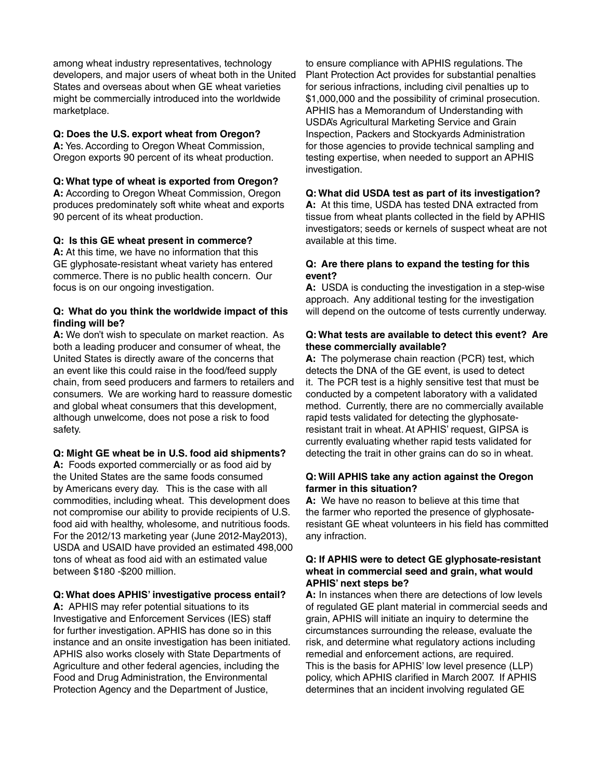among wheat industry representatives, technology developers, and major users of wheat both in the United States and overseas about when GE wheat varieties might be commercially introduced into the worldwide marketplace.

#### **Q: Does the U.S. export wheat from Oregon?**

**A:** Yes. According to Oregon Wheat Commission, Oregon exports 90 percent of its wheat production.

#### **Q: What type of wheat is exported from Oregon?**

**A:** According to Oregon Wheat Commission, Oregon produces predominately soft white wheat and exports 90 percent of its wheat production.

#### **Q: Is this GE wheat present in commerce?**

**A:** At this time, we have no information that this GE glyphosate-resistant wheat variety has entered commerce. There is no public health concern. Our focus is on our ongoing investigation.

#### **Q: What do you think the worldwide impact of this finding will be?**

**A:** We don't wish to speculate on market reaction. As both a leading producer and consumer of wheat, the United States is directly aware of the concerns that an event like this could raise in the food/feed supply chain, from seed producers and farmers to retailers and consumers. We are working hard to reassure domestic and global wheat consumers that this development, although unwelcome, does not pose a risk to food safety.

#### **Q: Might GE wheat be in U.S. food aid shipments?**

**A:** Foods exported commercially or as food aid by the United States are the same foods consumed by Americans every day. This is the case with all commodities, including wheat. This development does not compromise our ability to provide recipients of U.S. food aid with healthy, wholesome, and nutritious foods. For the 2012/13 marketing year (June 2012-May2013), USDA and USAID have provided an estimated 498,000 tons of wheat as food aid with an estimated value between \$180 -\$200 million.

#### **Q: What does APHIS' investigative process entail?**

**A:** APHIS may refer potential situations to its Investigative and Enforcement Services (IES) staff for further investigation. APHIS has done so in this instance and an onsite investigation has been initiated. APHIS also works closely with State Departments of Agriculture and other federal agencies, including the Food and Drug Administration, the Environmental Protection Agency and the Department of Justice,

to ensure compliance with APHIS regulations. The Plant Protection Act provides for substantial penalties for serious infractions, including civil penalties up to \$1,000,000 and the possibility of criminal prosecution. APHIS has a Memorandum of Understanding with USDA's Agricultural Marketing Service and Grain Inspection, Packers and Stockyards Administration for those agencies to provide technical sampling and testing expertise, when needed to support an APHIS investigation.

#### **Q: What did USDA test as part of its investigation?**

**A:** At this time, USDA has tested DNA extracted from tissue from wheat plants collected in the field by APHIS investigators; seeds or kernels of suspect wheat are not available at this time.

#### **Q: Are there plans to expand the testing for this event?**

**A:** USDA is conducting the investigation in a step-wise approach. Any additional testing for the investigation will depend on the outcome of tests currently underway.

#### **Q: What tests are available to detect this event? Are these commercially available?**

**A:** The polymerase chain reaction (PCR) test, which detects the DNA of the GE event, is used to detect it. The PCR test is a highly sensitive test that must be conducted by a competent laboratory with a validated method. Currently, there are no commercially available rapid tests validated for detecting the glyphosateresistant trait in wheat. At APHIS' request, GIPSA is currently evaluating whether rapid tests validated for detecting the trait in other grains can do so in wheat.

#### **Q: Will APHIS take any action against the Oregon farmer in this situation?**

**A:** We have no reason to believe at this time that the farmer who reported the presence of glyphosateresistant GE wheat volunteers in his field has committed any infraction.

#### **Q: If APHIS were to detect GE glyphosate-resistant wheat in commercial seed and grain, what would APHIS' next steps be?**

**A:** In instances when there are detections of low levels of regulated GE plant material in commercial seeds and grain, APHIS will initiate an inquiry to determine the circumstances surrounding the release, evaluate the risk, and determine what regulatory actions including remedial and enforcement actions, are required. This is the basis for APHIS' low level presence (LLP) policy, which APHIS clarified in March 2007. If APHIS determines that an incident involving regulated GE